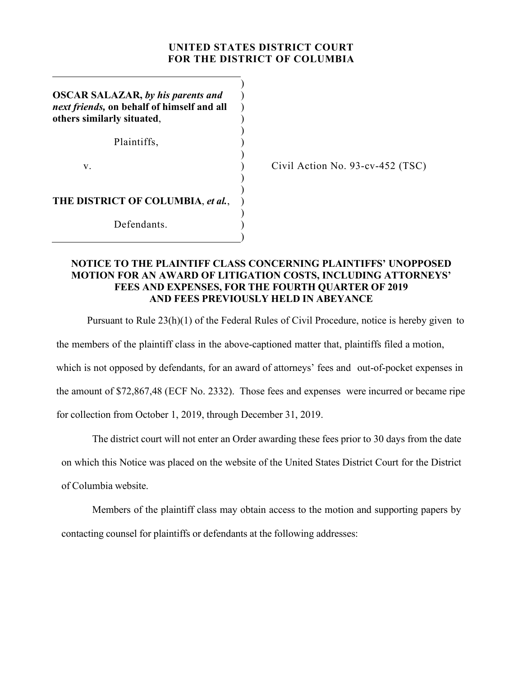## **UNITED STATES DISTRICT COURT FOR THE DISTRICT OF COLUMBIA**

)

) ) ) )

)

)

)

)

)

**OSCAR SALAZAR,** *by his parents and next friends,* **on behalf of himself and all others similarly situated**,

Plaintiffs, (a)

 $\mathbf v.$  )

Civil Action No. 93-cv-452 (TSC)

**THE DISTRICT OF COLUMBIA**, *et al.*, )

Defendants.

## **NOTICE TO THE PLAINTIFF CLASS CONCERNING PLAINTIFFS' UNOPPOSED MOTION FOR AN AWARD OF LITIGATION COSTS, INCLUDING ATTORNEYS' FEES AND EXPENSES, FOR THE FOURTH QUARTER OF 2019 AND FEES PREVIOUSLY HELD IN ABEYANCE**

Pursuant to Rule 23(h)(1) of the Federal Rules of Civil Procedure, notice is hereby given to

the members of the plaintiff class in the above-captioned matter that, plaintiffs filed a motion,

which is not opposed by defendants, for an award of attorneys' fees and out-of-pocket expenses in

the amount of \$72,867,48 (ECF No. 2332). Those fees and expenses were incurred or became ripe

for collection from October 1, 2019, through December 31, 2019.

The district court will not enter an Order awarding these fees prior to 30 days from the date on which this Notice was placed on the website of the United States District Court for the District of Columbia website.

Members of the plaintiff class may obtain access to the motion and supporting papers by contacting counsel for plaintiffs or defendants at the following addresses: